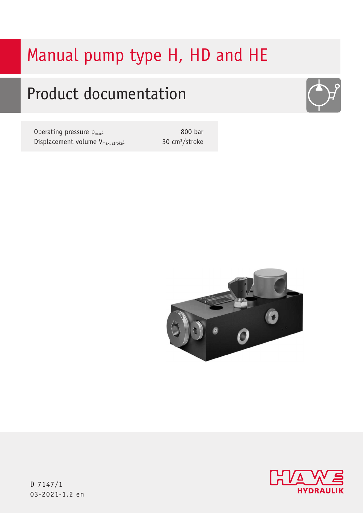# Manual pump type H, HD and HE

# Product documentation

Operating pressure  $p_{max}$ : Displacement volume V<sub>max. stroke</sub>:

800 bar 30 cm3/stroke







D 7147/1 03-2021-1.2 en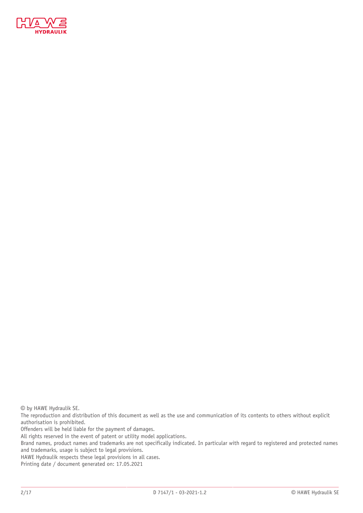

© by HAWE Hydraulik SE.

The reproduction and distribution of this document as well as the use and communication of its contents to others without explicit authorisation is prohibited.

Offenders will be held liable for the payment of damages.

All rights reserved in the event of patent or utility model applications.

Brand names, product names and trademarks are not specifically indicated. In particular with regard to registered and protected names and trademarks, usage is subject to legal provisions.

HAWE Hydraulik respects these legal provisions in all cases.

Printing date / document generated on: 17.05.2021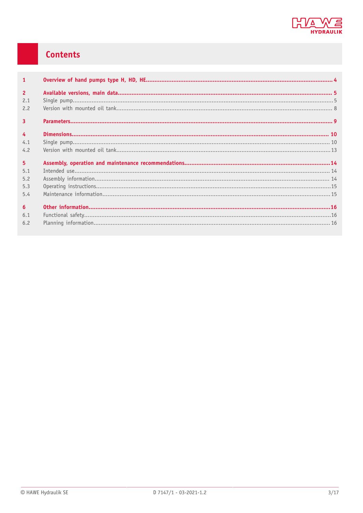

# Contents

| $\mathbf{1}$                 |  |
|------------------------------|--|
| $\overline{2}$<br>2.1<br>2.2 |  |
| $\overline{3}$               |  |
| $\overline{4}$<br>4.1<br>4.2 |  |
| 5 <sup>1</sup>               |  |
| 5.1<br>5.2<br>5.3<br>5.4     |  |
| 6<br>6.1<br>6.2              |  |
|                              |  |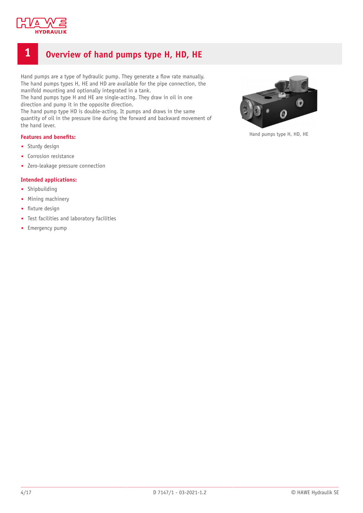

# <span id="page-3-0"></span>**1 Overview of hand pumps type H, HD, HE**

Hand pumps are a type of hydraulic pump. They generate a flow rate manually. The hand pumps types H, HE and HD are available for the pipe connection, the manifold mounting and optionally integrated in a tank.

The hand pumps type H and HE are single-acting. They draw in oil in one direction and pump it in the opposite direction.

The hand pump type HD is double-acting. It pumps and draws in the same quantity of oil in the pressure line during the forward and backward movement of the hand lever.

#### **Features** and **benefits:**

- Sturdy design
- Corrosion resistance
- Zero-leakage pressure connection

#### **Intended applications:**

- Shipbuilding
- Mining machinery
- fixture design
- Test facilities and laboratory facilities
- **-** Emergency pump



Hand pumps type H, HD, HE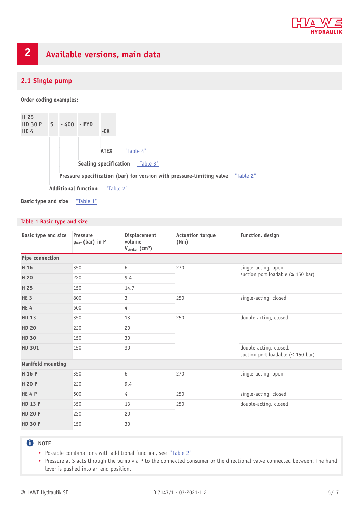

# <span id="page-4-0"></span>**2 Available versions, main data**

# <span id="page-4-1"></span>**2.1 Single pump**

**Order coding examples:**

| H 25<br><b>HD 30 P</b><br><b>HE4</b> | $\mathsf{S}$ | $-400 - PYD$ |                            | $-EX$                                                                           |
|--------------------------------------|--------------|--------------|----------------------------|---------------------------------------------------------------------------------|
|                                      |              |              |                            | <b>ATEX</b><br>"Table 4"                                                        |
|                                      |              |              |                            | <b>Sealing specification</b><br>"Table 3"                                       |
|                                      |              |              |                            | Pressure specification (bar) for version with pressure-limiting valve "Table 2" |
|                                      |              |              | <b>Additional function</b> | "Table 2"                                                                       |
| <b>Basic type and size</b>           |              |              | "Table 1"                  |                                                                                 |

#### <span id="page-4-2"></span>**Table 1 Basic type and size**

| Basic type and size      | Pressure<br>$p_{max}$ (bar) in P | <b>Displacement</b><br>volume<br>$V_{\text{stroke}}$ (cm <sup>3</sup> ) | <b>Actuation torque</b><br>(Nm) | Function, design                                                  |  |
|--------------------------|----------------------------------|-------------------------------------------------------------------------|---------------------------------|-------------------------------------------------------------------|--|
| Pipe connection          |                                  |                                                                         |                                 |                                                                   |  |
| H 16                     | 350                              | 6                                                                       | 270                             | single-acting, open,                                              |  |
| H 20                     | 220                              | 9.4                                                                     |                                 | suction port loadable ( $\leq$ 150 bar)                           |  |
| H 25                     | 150                              | 14.7                                                                    |                                 |                                                                   |  |
| HE <sub>3</sub>          | 800                              | 3                                                                       | 250                             | single-acting, closed                                             |  |
| <b>HE4</b>               | 600                              | 4                                                                       |                                 |                                                                   |  |
| <b>HD 13</b>             | 350                              | 13                                                                      | 250                             | double-acting, closed                                             |  |
| <b>HD 20</b>             | 220                              | 20                                                                      |                                 |                                                                   |  |
| <b>HD 30</b>             | 150                              | 30                                                                      |                                 |                                                                   |  |
| <b>HD 301</b>            | 150                              | 30                                                                      |                                 | double-acting, closed,<br>suction port loadable ( $\leq$ 150 bar) |  |
| <b>Manifold mounting</b> |                                  |                                                                         |                                 |                                                                   |  |
| H 16 P                   | 350                              | 6                                                                       | 270                             | single-acting, open                                               |  |
| H 20 P                   | 220                              | 9.4                                                                     |                                 |                                                                   |  |
| HE4P                     | 600                              | 4                                                                       | 250                             | single-acting, closed                                             |  |
| <b>HD 13 P</b>           | 350                              | 13                                                                      | 250                             | double-acting, closed                                             |  |
| <b>HD 20 P</b>           | 220                              | 20                                                                      |                                 |                                                                   |  |
| <b>HD 30 P</b>           | 150                              | 30                                                                      |                                 |                                                                   |  |

### **O** NOTE

- Possible combinations with additional function, see ["Table](#page-5-0) 2"
- Pressure at S acts through the pump via P to the connected consumer or the directional valve connected between. The hand lever is pushed into an end position.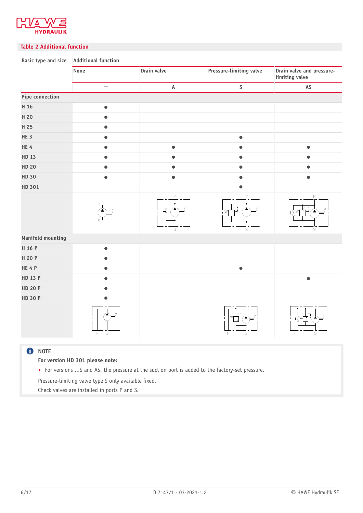

#### <span id="page-5-0"></span>**Table 2 Additional function**

| <b>Basic type and size</b> | Additional function        |                       |                                    |                                             |  |  |
|----------------------------|----------------------------|-----------------------|------------------------------------|---------------------------------------------|--|--|
|                            | None                       | Drain valve           | Pressure-limiting valve            | Drain valve and pressure-<br>limiting valve |  |  |
|                            | $\overline{a}$             | $\mathsf A$           | $\sf S$                            | $\mathsf{AS}$                               |  |  |
| Pipe connection            |                            |                       |                                    |                                             |  |  |
| H 16                       | $\bullet$                  |                       |                                    |                                             |  |  |
| H 20                       | $\bullet$                  |                       |                                    |                                             |  |  |
| H 25                       | $\bullet$                  |                       |                                    |                                             |  |  |
| HE <sub>3</sub>            | $\bullet$                  |                       | $\bullet$                          |                                             |  |  |
| HE4                        |                            | $\bullet$             | $\bullet$                          | $\bullet$                                   |  |  |
| HD 13                      | $\bullet$                  | $\bullet$             | $\bullet$                          | $\bullet$                                   |  |  |
| <b>HD 20</b>               | $\bullet$                  | $\bullet$             | $\bullet$                          | $\bullet$                                   |  |  |
| <b>HD 30</b>               | $\bullet$                  | $\bullet$             | $\bullet$                          | $\bullet$                                   |  |  |
| HD 301                     |                            |                       |                                    |                                             |  |  |
|                            |                            | P<br>Ķ<br>$\mathsf S$ | P<br>$\mathbb{T}^1$<br>$\mathbb S$ | P<br>- س<br>$\mathbb S$                     |  |  |
| <b>Manifold mounting</b>   |                            |                       |                                    |                                             |  |  |
| H 16 P                     | $\bullet$                  |                       |                                    |                                             |  |  |
| H 20 P                     | $\bullet$                  |                       |                                    |                                             |  |  |
| HE4P                       | $\bullet$                  |                       | $\bullet$                          |                                             |  |  |
| <b>HD 13 P</b>             | $\bullet$                  |                       |                                    | $\bullet$                                   |  |  |
| <b>HD 20 P</b>             |                            |                       |                                    |                                             |  |  |
| <b>HD 30 P</b>             |                            |                       |                                    |                                             |  |  |
|                            | $\mathsf P$<br>$\mathbb S$ |                       | 'MГ<br>P<br>S                      | ΫW<br>A<br>P<br>$\mathbb S$                 |  |  |
| $A$ NOTE                   |                            |                       |                                    |                                             |  |  |

#### **U** NOTE

**For version HD 301 please note:**

■ For versions ...S and AS, the pressure at the suction port is added to the factory-set pressure.

Pressure-limiting valve type S only available fixed.

Check valves are installed in ports P and S.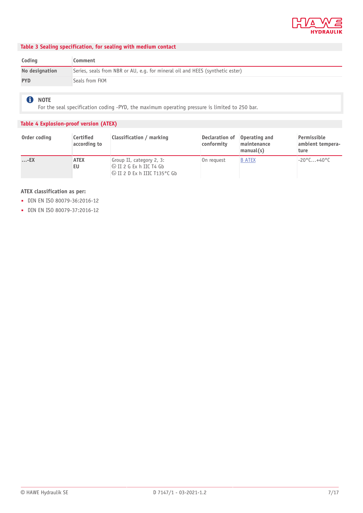

#### <span id="page-6-1"></span>**Table 3 Sealing specification, for sealing with medium contact**

| Coding         | Comment                                                                       |
|----------------|-------------------------------------------------------------------------------|
| No designation | Series, seals from NBR or AU, e.g. for mineral oil and HEES (synthetic ester) |
| <b>PYD</b>     | Seals from FKM                                                                |

**O** NOTE

For the seal specification coding -PYD, the maximum operating pressure is limited to 250 bar.

#### <span id="page-6-0"></span>**Table 4 Explosion-proof version (ATEX)**

| Order coding | Certified<br>according to | Classification / marking                                                                            | Declaration of<br>conformity | Operating and<br>maintenance<br>manual(s) | Permissible<br>ambient tempera-<br>ture |
|--------------|---------------------------|-----------------------------------------------------------------------------------------------------|------------------------------|-------------------------------------------|-----------------------------------------|
| $\ldots$ -EX | <b>ATEX</b><br>EU         | Group II, category 2, 3:<br>$\otimes$ II 2 G Ex h IIC T4 Gb<br>$\otimes$ II 2 D Ex h IIIC T135°C Gb | On request                   | <b>B ATEX</b>                             | $-20^{\circ}$ C $+40^{\circ}$ C         |

#### **ATEX classification as per:**

- DIN EN ISO 80079-36:2016-12
- DIN EN ISO 80079-37:2016-12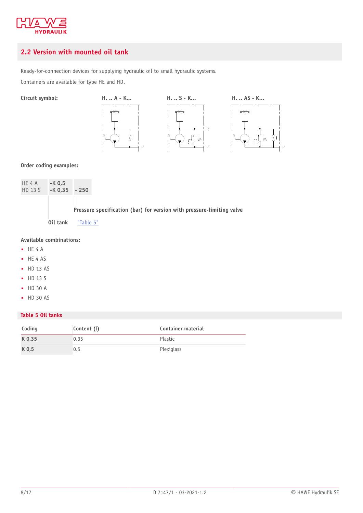

# <span id="page-7-0"></span>**2.2 Version with mounted oil tank**

Ready-for-connection devices for supplying hydraulic oil to small hydraulic systems.

Containers are available for type HE and HD.



**Order coding examples:**

| HE 4 A<br>HD 13 S | $-K$ 0,5<br>$-K$ 0,35 $-250$ |                                   |  |
|-------------------|------------------------------|-----------------------------------|--|
|                   |                              | <b>Pressure specification (ba</b> |  |

**Pressure specification (bar) for version with pressure-limiting valve**

**Oil tank** ["Table](#page-7-1) 5"

#### **Available combinations:**

- HE 4 A
- HE 4 AS
- HD 13 AS
- HD 13 S
- HD 30 A
- HD 30 AS

#### <span id="page-7-1"></span>**Table 5 Oil tanks**

| Coding | Content (l) | <b>Container material</b> |
|--------|-------------|---------------------------|
| K 0,35 | 0.35        | Plastic                   |
| K 0,5  | 0.5         | Plexiglass                |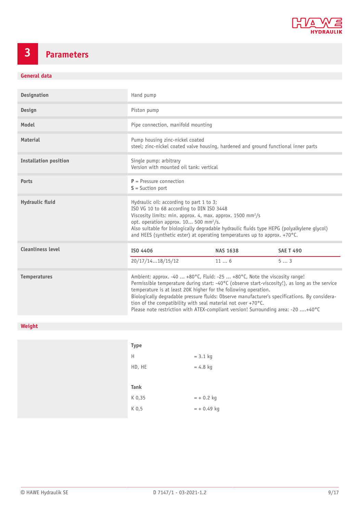

# <span id="page-8-0"></span>**3 Parameters**

### **General data**

| <b>Designation</b>           | Hand pump                                                                                                                                                                                                                                                                                                                                                                                                                                                                                           |                 |                  |
|------------------------------|-----------------------------------------------------------------------------------------------------------------------------------------------------------------------------------------------------------------------------------------------------------------------------------------------------------------------------------------------------------------------------------------------------------------------------------------------------------------------------------------------------|-----------------|------------------|
| Design                       | Piston pump                                                                                                                                                                                                                                                                                                                                                                                                                                                                                         |                 |                  |
| Model                        | Pipe connection, manifold mounting                                                                                                                                                                                                                                                                                                                                                                                                                                                                  |                 |                  |
| <b>Material</b>              | Pump housing zinc-nickel coated<br>steel; zinc-nickel coated valve housing, hardened and ground functional inner parts                                                                                                                                                                                                                                                                                                                                                                              |                 |                  |
| <b>Installation position</b> | Single pump: arbitrary<br>Version with mounted oil tank: vertical                                                                                                                                                                                                                                                                                                                                                                                                                                   |                 |                  |
| <b>Ports</b>                 | $P =$ Pressure connection<br>$S =$ Suction port                                                                                                                                                                                                                                                                                                                                                                                                                                                     |                 |                  |
| Hydraulic fluid              | Hydraulic oil: according to part 1 to 3;<br>ISO VG 10 to 68 according to DIN ISO 3448<br>Viscosity limits: min. approx. 4, max. approx. 1500 mm <sup>2</sup> /s<br>opt. operation approx. 10 500 mm <sup>2</sup> /s.<br>Also suitable for biologically degradable hydraulic fluids type HEPG (polyalkylene glycol)<br>and HEES (synthetic ester) at operating temperatures up to approx. +70°C.                                                                                                     |                 |                  |
| <b>Cleanliness level</b>     | ISO 4406                                                                                                                                                                                                                                                                                                                                                                                                                                                                                            | <b>NAS 1638</b> | <b>SAE T 490</b> |
|                              | 20/17/1418/15/12                                                                                                                                                                                                                                                                                                                                                                                                                                                                                    | 116             | 53               |
| <b>Temperatures</b>          | Ambient: approx. -40  +80°C, Fluid: -25  +80°C, Note the viscosity range!<br>Permissible temperature during start: -40°C (observe start-viscosity!), as long as the service<br>temperature is at least 20K higher for the following operation.<br>Biologically degradable pressure fluids: Observe manufacturer's specifications. By considera-<br>tion of the compatibility with seal material not over +70°C.<br>Please note restriction with ATEX-compliant version! Surrounding area: -20 +40°C |                 |                  |

### **Weight**

| <b>Type</b> |              |
|-------------|--------------|
| H           | $= 3.1$ kg   |
| HD, HE      | $= 4.8$ kg   |
|             |              |
|             |              |
| Tank        |              |
| K 0,35      | $= +0.2$ kg  |
| K 0,5       | $= +0.49$ kg |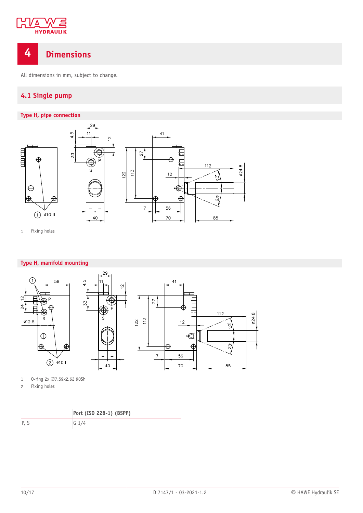

# <span id="page-9-0"></span>**4 Dimensions**

<span id="page-9-1"></span>All dimensions in mm, subject to change.

# **4.1 Single pump**



1 Fixing holes

#### **Type H, manifold mounting**



1 0-ring 2x  $\varnothing$ 7.59x2.62 90Sh

2 Fixing holes



P, S G 1/4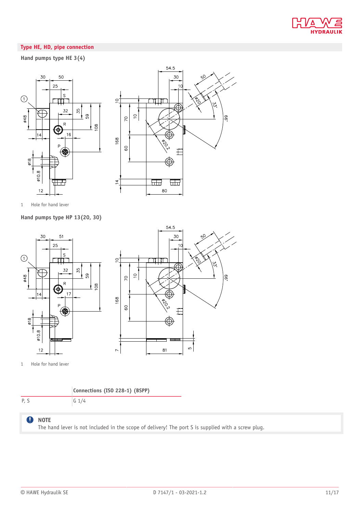

#### **Type HE, HD, pipe connection**

#### **Hand pumps type HE 3(4)**





1 Hole for hand lever

**Hand pumps type HP 13(20, 30)**





1 Hole for hand lever

#### **Connections (ISO 228-1) (BSPP)**

P, S G 1/4

#### $\bullet$ **NOTE**

The hand lever is not included in the scope of delivery! The port S is supplied with a screw plug.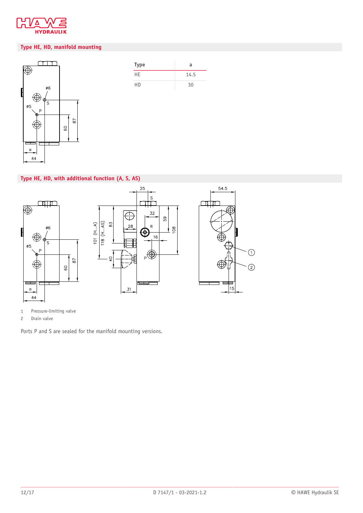

#### **Type HE, HD, manifold mounting**



| Type | a    |
|------|------|
| HE   | 14.5 |
| НD   | 30   |

#### **Type HE, HD, with additional function (A, S, AS)**



1 Pressure-limiting valve

2 Drain valve

Ports P and S are sealed for the manifold mounting versions.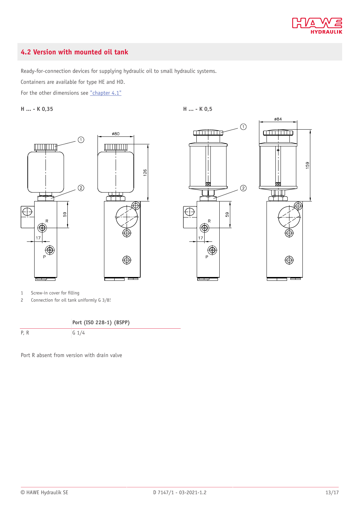

### <span id="page-12-0"></span>**4.2 Version with mounted oil tank**

Ready-for-connection devices for supplying hydraulic oil to small hydraulic systems.

Containers are available for type HE and HD.

For the other dimensions see  $"chapter 4.1"$ 

**H ... - K 0,35 H ... - K 0,5**

 $\odot$  $\frac{1}{2}$ **THE HEAT**  $(2)$ 7<del>7 R</del>  $\bigoplus$ 59  $\overline{R}$  $17$  $\bigoplus$  $\oplus$ 





1 Screw-in cover for filling

2 Connection for oil tank uniformly G 3/8!

**Port (ISO 228-1) (BSPP)** P, R G 1/4

Port R absent from version with drain valve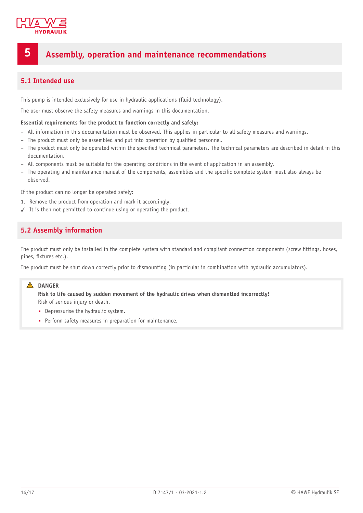

# <span id="page-13-0"></span>**5 Assembly, operation and maintenance recommendations**

### <span id="page-13-1"></span>**5.1 Intended use**

This pump is intended exclusively for use in hydraulic applications (fluid technology).

The user must observe the safety measures and warnings in this documentation.

#### **Essential requirements for the product to function correctly and safely:**

- All information in this documentation must be observed. This applies in particular to all safety measures and warnings.
- The product must only be assembled and put into operation by qualified personnel.
- The product must only be operated within the specified technical parameters. The technical parameters are described in detail in this documentation.
- All components must be suitable for the operating conditions in the event of application in an assembly.
- The operating and maintenance manual of the components, assemblies and the specific complete system must also always be observed.

If the product can no longer be operated safely:

- 1. Remove the product from operation and mark it accordingly.
- <span id="page-13-2"></span>✓ It is then not permitted to continue using or operating the product.

### **5.2 Assembly information**

The product must only be installed in the complete system with standard and compliant connection components (screw fittings, hoses, pipes, fixtures etc.).

The product must be shut down correctly prior to dismounting (in particular in combination with hydraulic accumulators).

#### **A** DANGER

**Risk to life caused by sudden movement of the hydraulic drives when dismantled incorrectly!** Risk of serious injury or death.

- Depressurise the hydraulic system.
- Perform safety measures in preparation for maintenance.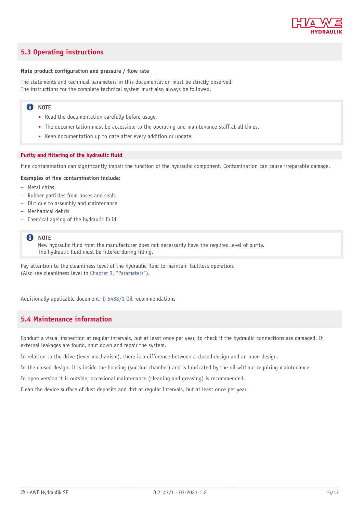

### <span id="page-14-0"></span>**5.3 Operating instructions**

#### **Note product configuration** and **pressure** / **flow** rate

The statements and technical parameters in this documentation must be strictly observed. The instructions for the complete technical system must also always be followed.

#### **f** NOTE

- Read the documentation carefully before usage.
- The documentation must be accessible to the operating and maintenance staff at all times.
- Keep documentation up to date after every addition or update.

#### **Purity** and **filtering** of the hydraulic fluid

Fine contamination can significantly impair the function of the hydraulic component. Contamination can cause irreparable damage.

#### **Examples of (ne contamination include:**

- Metal chips
- Rubber particles from hoses and seals
- Dirt due to assembly and maintenance
- Mechanical debris
- Chemical ageing of the hydraulic fluid

#### **note**

New hydraulic fluid from the manufacturer does not necessarily have the required level of purity. The hydraulic fluid must be filtered during filling.

Pay attention to the cleanliness level of the hydraulic fluid to maintain faultless operation. (Also see cleanliness level in Chapter 3, ["Parameters"](#page-8-0)).

<span id="page-14-1"></span>Additionally applicable document: [D 5488/1](http://downloads.hawe.com/5/4/D54881-en.pdf) Oil recommendations

### **5.4 Maintenance information**

Conduct a visual inspection at regular intervals, but at least once per year, to check if the hydraulic connections are damaged. If external leakages are found, shut down and repair the system.

In relation to the drive (lever mechanism), there is a difference between a closed design and an open design.

In the closed design, it is inside the housing (suction chamber) and is lubricated by the oil without requiring maintenance.

In open version it is outside; occasional maintenance (cleaning and greasing) is recommended.

Clean the device surface of dust deposits and dirt at regular intervals, but at least once per year.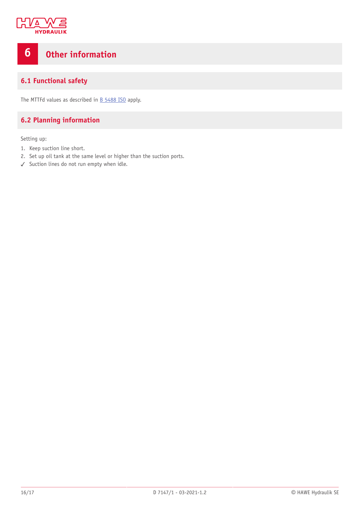

# <span id="page-15-0"></span>**6 Other information**

## <span id="page-15-1"></span>**6.1 Functional safety**

<span id="page-15-2"></span>The MTTFd values as described in  $B$  [5488](http://downloads.hawe.com/5/4/B5488ISO-en.pdf) ISO apply.

# **6.2 Planning information**

Setting up:

- 1. Keep suction line short.
- 2. Set up oil tank at the same level or higher than the suction ports.
- ✓ Suction lines do not run empty when idle.